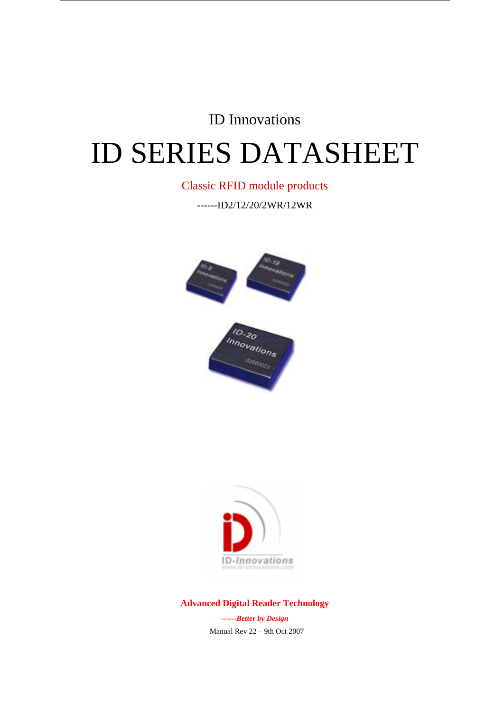## ID Innovations

# ID SERIES DATASHEET

#### Classic RFID module products

------ID2/12/20/2WR/12WR





**Advanced Digital Reader Technology** 

*------Better by Design*  Manual Rev 22 – 9th Oct 2007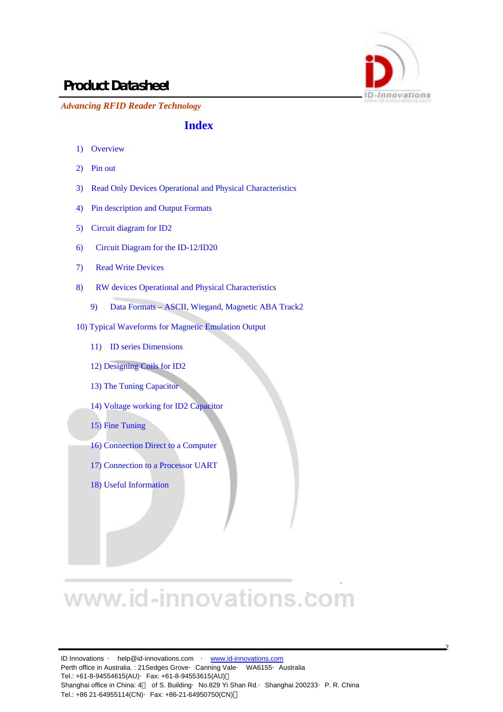

 $\mathcal{L}$ 

*Advancing RFID Reader Technology*

#### **Index**

- 1) Overview
- 2) Pin out
- 3) Read Only Devices Operational and Physical Characteristics
- 4) Pin description and Output Formats
- 5) Circuit diagram for ID2
- 6) Circuit Diagram for the ID-12/ID20
- 7) Read Write Devices
- 8) RW devices Operational and Physical Characteristics
	- 9) Data Formats ASCII, Wiegand, Magnetic ABA Track2
- 10) Typical Waveforms for Magnetic Emulation Output
	- 11) ID series Dimensions
	- 12) Designing Coils for ID2
	- 13) The Tuning Capacitor
	- 14) Voltage working for ID2 Capacitor
	- 15) Fine Tuning
	- 16) Connection Direct to a Computer
	- 17) Connection to a Processor UART
	- 18) Useful Information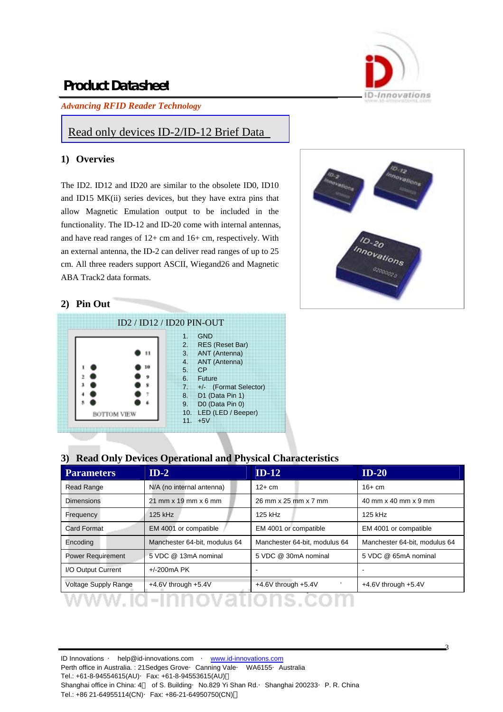*Advancing RFID Reader Technology*



#### Read only devices ID-2/ID-12 Brief Data

#### **1) Overvies**

The ID2. ID12 and ID20 are similar to the obsolete ID0, ID10 and ID15 MK(ii) series devices, but they have extra pins that allow Magnetic Emulation output to be included in the functionality. The ID-12 and ID-20 come with internal antennas, and have read ranges of 12+ cm and 16+ cm, respectively. With an external antenna, the ID-2 can deliver read ranges of up to 25 cm. All three readers support ASCII, Wiegand26 and Magnetic ABA Track2 data formats.



3

#### **2) Pin Out**

|                    | $ID2 / ID12 / ID20 PIN-OUT$ |                                                                |                                                                                                                                                                                 |
|--------------------|-----------------------------|----------------------------------------------------------------|---------------------------------------------------------------------------------------------------------------------------------------------------------------------------------|
| <b>BOTTOM VIEW</b> | 10                          | $\mathbf{1}$ .<br>2.<br>3.<br>4.<br>5.<br>6.<br>7.<br>8.<br>9. | <b>GND</b><br><b>RES</b> (Reset Bar)<br>ANT (Antenna)<br>ANT (Antenna)<br>CP<br>Future<br>+/- (Format Selector)<br>D1 (Data Pin 1)<br>D0 (Data Pin 0)<br>10. LED (LED / Beeper) |
|                    |                             | 11                                                             | $+5V$                                                                                                                                                                           |

#### **3) Read Only Devices Operational and Physical Characteristics**

| <b>Parameters</b>           | $ID-2$                        | $ID-12$                       | $ID-20$                       |
|-----------------------------|-------------------------------|-------------------------------|-------------------------------|
| <b>Read Range</b>           | N/A (no internal antenna)     | $12+cm$                       | $16+cm$                       |
| <b>Dimensions</b>           | $21$ mm x 19 mm x 6 mm        | 26 mm x 25 mm x 7 mm          | 40 mm x 40 mm x 9 mm          |
| Frequency                   | 125 kHz                       | 125 kHz                       | 125 kHz                       |
| <b>Card Format</b>          | EM 4001 or compatible         | EM 4001 or compatible         | EM 4001 or compatible         |
| Encoding                    | Manchester 64-bit, modulus 64 | Manchester 64-bit, modulus 64 | Manchester 64-bit, modulus 64 |
| <b>Power Requirement</b>    | 5 VDC @ 13mA nominal          | 5 VDC @ 30mA nominal          | 5 VDC @ 65mA nominal          |
| I/O Output Current          | $+/-200mA$ PK                 | ٠                             |                               |
| <b>Voltage Supply Range</b> | $+4.6V$ through $+5.4V$       | $+4.6V$ through $+5.4V$       | $+4.6V$ through $+5.4V$       |
|                             |                               |                               |                               |

ID Innovations · help@id-innovations.com · www.id-innovations.com Perth office in Australia. : 21 Sedges Grove Canning Vale WA6155 Australia Tel.: +61-8-94554615(AU)·Fax: +61-8-94553615(AU) Shanghai office in China: 4 of S. Building No.829 Yi Shan Rd. Shanghai 200233 P. R. China Tel.: +86 21-64955114(CN)·Fax: +86-21-64950750(CN)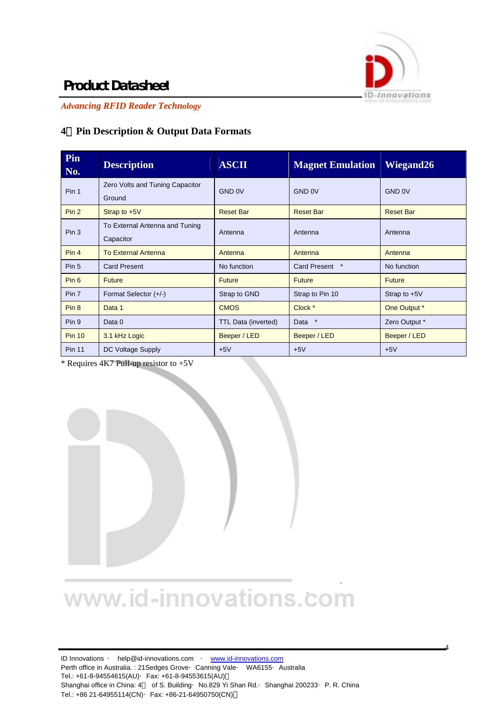

4

## **Product Datasheet**

*Advancing RFID Reader Technology*

#### **4**)**Pin Description & Output Data Formats**

| Pin<br>No.       | <b>Description</b>                          | <b>ASCII</b>               | <b>Magnet Emulation</b> | <b>Wiegand26</b> |
|------------------|---------------------------------------------|----------------------------|-------------------------|------------------|
| Pin 1            | Zero Volts and Tuning Capacitor<br>Ground   | GND 0V                     | GND 0V                  | GND 0V           |
| Pin <sub>2</sub> | Strap to $+5V$                              | <b>Reset Bar</b>           | <b>Reset Bar</b>        | <b>Reset Bar</b> |
| Pin <sub>3</sub> | To External Antenna and Tuning<br>Capacitor | Antenna                    | Antenna                 | Antenna          |
| Pin 4            | <b>To External Antenna</b>                  | Antenna                    | Antenna                 | Antenna          |
| Pin <sub>5</sub> | <b>Card Present</b>                         | No function                | Card Present *          | No function      |
| Pin <sub>6</sub> | <b>Future</b>                               | <b>Future</b>              | <b>Future</b>           | <b>Future</b>    |
| Pin 7            | Format Selector (+/-)                       | Strap to GND               | Strap to Pin 10         | Strap to $+5V$   |
| Pin <sub>8</sub> | Data 1                                      | <b>CMOS</b>                | Clock *                 | One Output *     |
| Pin 9            | Data 0                                      | <b>TTL Data (inverted)</b> | $\ast$<br>Data          | Zero Output *    |
| <b>Pin 10</b>    | 3.1 kHz Logic                               | Beeper / LED               | Beeper / LED            | Beeper / LED     |
| <b>Pin 11</b>    | DC Voltage Supply                           | $+5V$                      | $+5V$                   | $+5V$            |

\* Requires 4K7 Pull-up resistor to +5V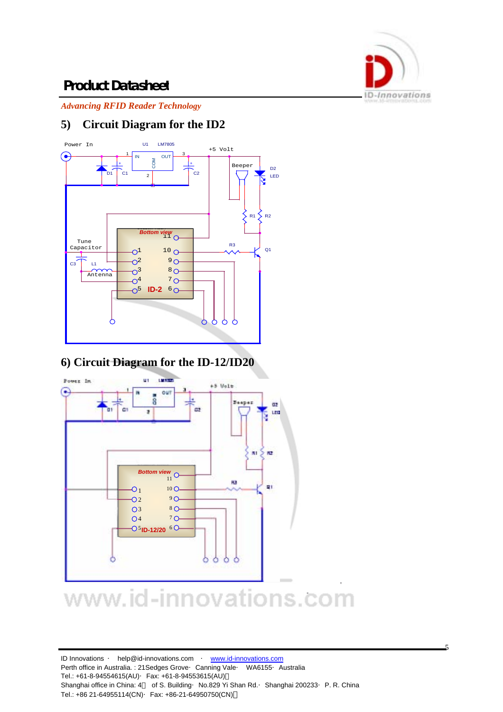

 $\overline{\phantom{a}}$ 

## **Product Datasheet**

*Advancing RFID Reader Technology*

### **5) Circuit Diagram for the ID2**



#### **6) Circuit Diagram for the ID-12/ID20**

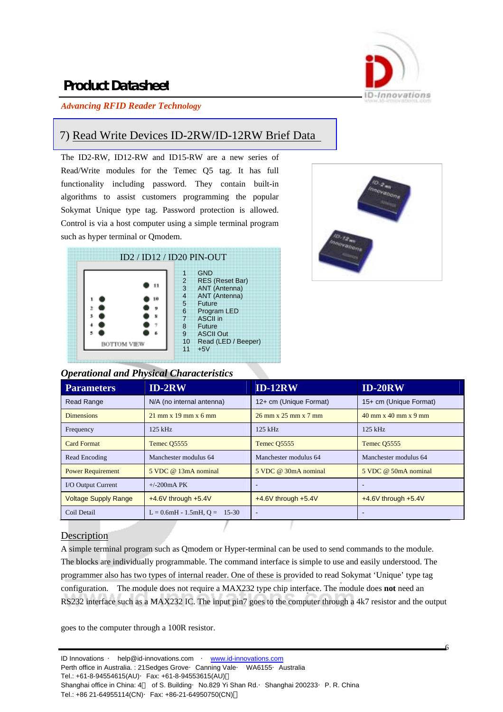

#### *Advancing RFID Reader Technology*

#### 7) Read Write Devices ID-2RW/ID-12RW Brief Data

The ID2-RW, ID12-RW and ID15-RW are a new series of Read/Write modules for the Temec Q5 tag. It has full functionality including password. They contain built-in algorithms to assist customers programming the popular Sokymat Unique type tag. Password protection is allowed. Control is via a host computer using a simple terminal program such as hyper terminal or Qmodem.





#### *Operational and Physical Characteristics*

| <b>Parameters</b>           | $ID-2RW$                       | <b>ID-12RW</b>                                           | <b>ID-20RW</b>                                           |
|-----------------------------|--------------------------------|----------------------------------------------------------|----------------------------------------------------------|
| <b>Read Range</b>           | N/A (no internal antenna)      | 12+ cm (Unique Format)                                   | 15+ cm (Unique Format)                                   |
| <b>Dimensions</b>           | $21$ mm x $19$ mm x 6 mm       | $26 \text{ mm} \times 25 \text{ mm} \times 7 \text{ mm}$ | $40 \text{ mm} \times 40 \text{ mm} \times 9 \text{ mm}$ |
| Frequency                   | 125 kHz                        | $125$ kHz                                                | $125$ kHz                                                |
| <b>Card Format</b>          | Temec Q5555                    | Temec Q5555                                              | Temec Q5555                                              |
| Read Encoding               | Manchester modulus 64          | Manchester modulus 64                                    | Manchester modulus 64                                    |
| <b>Power Requirement</b>    | 5 VDC @ 13mA nominal           | 5 VDC @ 30mA nominal                                     | 5 VDC @ 50mA nominal                                     |
| I/O Output Current          | $+/-200mA$ PK                  | $\overline{\phantom{a}}$                                 |                                                          |
| <b>Voltage Supply Range</b> | $+4.6V$ through $+5.4V$        | $+4.6V$ through $+5.4V$                                  | $+4.6V$ through $+5.4V$                                  |
| Coil Detail                 | $L = 0.6mH - 1.5mH, Q = 15-30$ | $\overline{\phantom{a}}$                                 |                                                          |
|                             |                                |                                                          |                                                          |

#### **Description**

A simple terminal program such as Qmodem or Hyper-terminal can be used to send commands to the module. The blocks are individually programmable. The command interface is simple to use and easily understood. The programmer also has two types of internal reader. One of these is provided to read Sokymat 'Unique' type tag configuration. The module does not require a MAX232 type chip interface. The module does **not** need an RS232 interface such as a MAX232 IC. The input pin7 goes to the computer through a 4k7 resistor and the output

goes to the computer through a 100R resistor.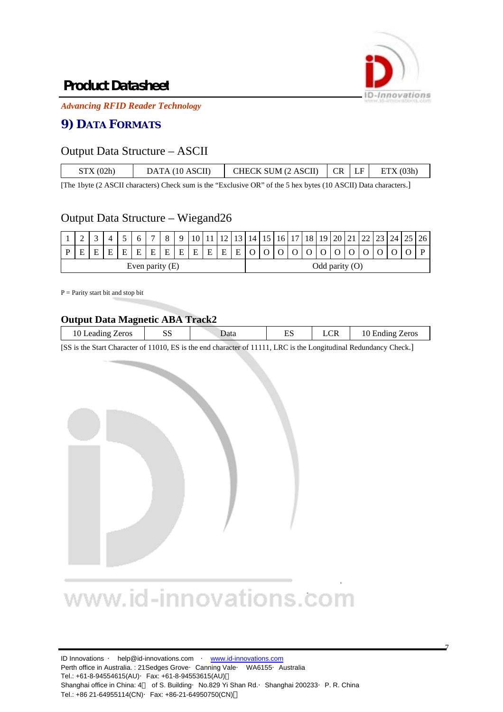

7

## **Product Datasheet**

*Advancing RFID Reader Technology*

#### **9) DATA FORMATS**

#### Output Data Structure – ASCII

| $CR$   LF<br>DATA (10 ASCII) | STX(02h) |  | CHECK SUM (2 ASCII) |  |  | ETX(03h) |
|------------------------------|----------|--|---------------------|--|--|----------|
|------------------------------|----------|--|---------------------|--|--|----------|

[The 1byte (2 ASCII characters) Check sum is the "Exclusive OR" of the 5 hex bytes (10 ASCII) Data characters.]

#### Output Data Structure – Wiegand26

|                 |   |  |   |   |              | $\overline{ }$ |                  |   |   |   | 10 <sup>1</sup> 12 |              | 14 I | 15 | 16 <sup>1</sup> | 17 <sup>1</sup> | 18 | 19 <sup>1</sup> | 20 | 21<br>$\sim$ 1 | ົາາ | $23 \mid 24 \mid 25$ | 26 <sup>1</sup> |
|-----------------|---|--|---|---|--------------|----------------|------------------|---|---|---|--------------------|--------------|------|----|-----------------|-----------------|----|-----------------|----|----------------|-----|----------------------|-----------------|
|                 | Е |  | Ε | E | $\mathbf{r}$ | E              | E                | E | E | E | $\mathbf{E}$       | $\mathbf{E}$ |      |    |                 |                 |    |                 |    |                |     |                      |                 |
| Even parity (E) |   |  |   |   |              |                | Odd parity $(O)$ |   |   |   |                    |              |      |    |                 |                 |    |                 |    |                |     |                      |                 |

 $P =$  Parity start bit and stop bit

#### **Output Data Magnetic ABA Track2**

| _______<br>.    |   | ---- |   |                        |                              |
|-----------------|---|------|---|------------------------|------------------------------|
| Zeros<br>eading | ັ | Jata | ⊷ | $\cap$ D<br><b>LUI</b> | Zeros<br><b>Ending</b><br>10 |
|                 |   |      |   |                        |                              |

[SS is the Start Character of 11010, ES is the end character of 11111, LRC is the Longitudinal Redundancy Check.]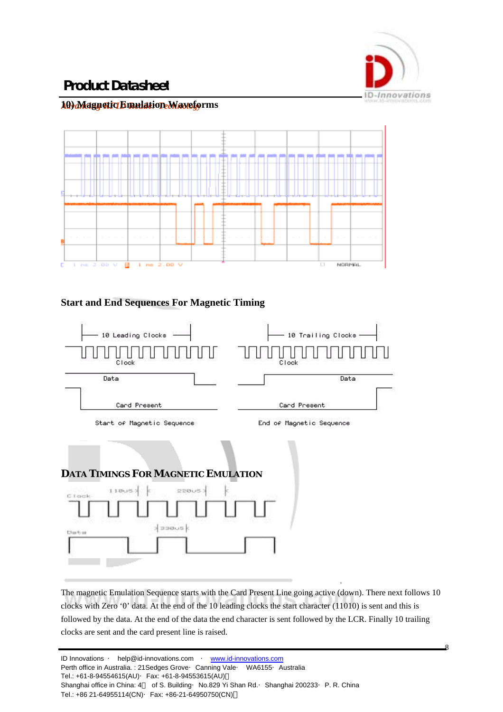

 $\mathbf{Q}$ 

## **Product Datasheet**

#### **10) Magnetic Emulation Waveforms** *Advancing RFID Reader Technology*



#### **Start and End Sequences For Magnetic Timing**



The magnetic Emulation Sequence starts with the Card Present Line going active (down). There next follows 10 clocks with Zero '0' data. At the end of the 10 leading clocks the start character (11010) is sent and this is followed by the data. At the end of the data the end character is sent followed by the LCR. Finally 10 trailing clocks are sent and the card present line is raised.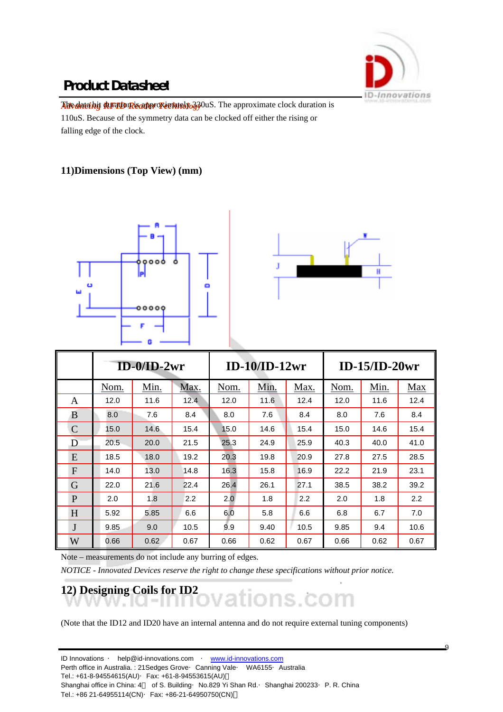

 $\Omega$ 

## **Product Datasheet**

The data bit **RFID Reapproximately 330uS**. The approximate clock duration is 110uS. Because of the symmetry data can be clocked off either the rising or falling edge of the clock.

#### **11)Dimensions (Top View) (mm)**





|               |      | $ID-0/ID-2wr$ |      |      | $ID-10/ID-12wr$ |      | $ID-15/ID-20wr$ |      |      |  |  |
|---------------|------|---------------|------|------|-----------------|------|-----------------|------|------|--|--|
|               | Nom. | Min.          | Max. | Nom. | Min.            | Max. | Nom.            | Min. | Max  |  |  |
| A             | 12.0 | 11.6          | 12.4 | 12.0 | 11.6            | 12.4 | 12.0            | 11.6 | 12.4 |  |  |
| B             | 8.0  | 7.6           | 8.4  | 8.0  | 7.6             | 8.4  | 8.0             | 7.6  | 8.4  |  |  |
| $\mathcal{C}$ | 15.0 | 14.6          | 15.4 | 15.0 | 14.6            | 15.4 | 15.0            | 14.6 | 15.4 |  |  |
| D             | 20.5 | 20.0          | 21.5 | 25.3 | 24.9            | 25.9 | 40.3            | 40.0 | 41.0 |  |  |
| E             | 18.5 | 18.0          | 19.2 | 20.3 | 19.8            | 20.9 | 27.8            | 27.5 | 28.5 |  |  |
| F             | 14.0 | 13.0          | 14.8 | 16.3 | 15.8            | 16.9 | 22.2            | 21.9 | 23.1 |  |  |
| G             | 22.0 | 21.6          | 22.4 | 26.4 | 26.1            | 27.1 | 38.5            | 38.2 | 39.2 |  |  |
| P             | 2.0  | 1.8           | 2.2  | 2.0  | 1.8             | 2.2  | 2.0             | 1.8  | 2.2  |  |  |
| H             | 5.92 | 5.85          | 6.6  | 6.0  | 5.8             | 6.6  | 6.8             | 6.7  | 7.0  |  |  |
| J             | 9.85 | 9.0           | 10.5 | 9.9  | 9.40            | 10.5 | 9.85            | 9.4  | 10.6 |  |  |
| W             | 0.66 | 0.62          | 0.67 | 0.66 | 0.62            | 0.67 | 0.66            | 0.62 | 0.67 |  |  |

Note – measurements do not include any burring of edges.

*NOTICE - Innovated Devices reserve the right to change these specifications without prior notice.* 

## 12) Designing Coils for ID2<br> **12** OVations COM

(Note that the ID12 and ID20 have an internal antenna and do not require external tuning components)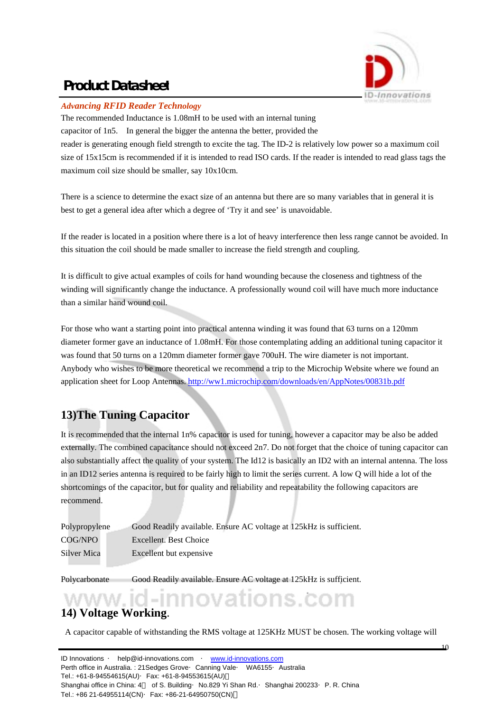

#### *Advancing RFID Reader Technology*

The recommended Inductance is 1.08mH to be used with an internal tuning

capacitor of 1n5. In general the bigger the antenna the better, provided the reader is generating enough field strength to excite the tag. The ID-2 is relatively low power so a maximum coil size of 15x15cm is recommended if it is intended to read ISO cards. If the reader is intended to read glass tags the maximum coil size should be smaller, say 10x10cm.

There is a science to determine the exact size of an antenna but there are so many variables that in general it is best to get a general idea after which a degree of 'Try it and see' is unavoidable.

If the reader is located in a position where there is a lot of heavy interference then less range cannot be avoided. In this situation the coil should be made smaller to increase the field strength and coupling.

It is difficult to give actual examples of coils for hand wounding because the closeness and tightness of the winding will significantly change the inductance. A professionally wound coil will have much more inductance than a similar hand wound coil.

For those who want a starting point into practical antenna winding it was found that 63 turns on a 120mm diameter former gave an inductance of 1.08mH. For those contemplating adding an additional tuning capacitor it was found that 50 turns on a 120mm diameter former gave 700uH. The wire diameter is not important. Anybody who wishes to be more theoretical we recommend a trip to the Microchip Website where we found an application sheet for Loop Antennas. http://ww1.microchip.com/downloads/en/AppNotes/00831b.pdf

### **13)The Tuning Capacitor**

It is recommended that the internal 1n% capacitor is used for tuning, however a capacitor may be also be added externally. The combined capacitance should not exceed 2n7. Do not forget that the choice of tuning capacitor can also substantially affect the quality of your system. The Id12 is basically an ID2 with an internal antenna. The loss in an ID12 series antenna is required to be fairly high to limit the series current. A low Q will hide a lot of the shortcomings of the capacitor, but for quality and reliability and repeatability the following capacitors are recommend.

| Polypropylene | Good Readily available. Ensure AC voltage at 125kHz is sufficient. |
|---------------|--------------------------------------------------------------------|
| COG/NPO       | Excellent. Best Choice                                             |
| Silver Mica   | Excellent but expensive                                            |

Polycarbonate Good Readily available. Ensure AC voltage at 125kHz is sufficient.

# **14) Voltage Working**.

A capacitor capable of withstanding the RMS voltage at 125KHz MUST be chosen. The working voltage will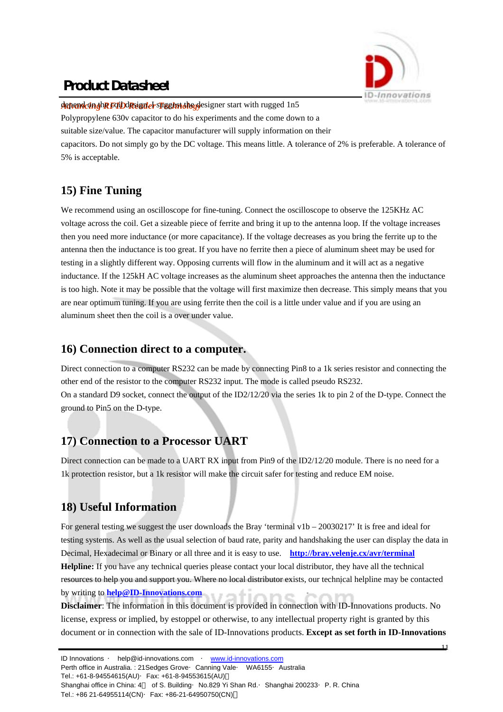

depend on the FUD Rugnler suggest the designer start with rugged 1n5 Polypropylene 630v capacitor to do his experiments and the come down to a suitable size/value. The capacitor manufacturer will supply information on their capacitors. Do not simply go by the DC voltage. This means little. A tolerance of 2% is preferable. A tolerance of 5% is acceptable.

### **15) Fine Tuning**

We recommend using an oscilloscope for fine-tuning. Connect the oscilloscope to observe the 125KHz AC voltage across the coil. Get a sizeable piece of ferrite and bring it up to the antenna loop. If the voltage increases then you need more inductance (or more capacitance). If the voltage decreases as you bring the ferrite up to the antenna then the inductance is too great. If you have no ferrite then a piece of aluminum sheet may be used for testing in a slightly different way. Opposing currents will flow in the aluminum and it will act as a negative inductance. If the 125kH AC voltage increases as the aluminum sheet approaches the antenna then the inductance is too high. Note it may be possible that the voltage will first maximize then decrease. This simply means that you are near optimum tuning. If you are using ferrite then the coil is a little under value and if you are using an aluminum sheet then the coil is a over under value.

#### **16) Connection direct to a computer.**

Direct connection to a computer RS232 can be made by connecting Pin8 to a 1k series resistor and connecting the other end of the resistor to the computer RS232 input. The mode is called pseudo RS232. On a standard D9 socket, connect the output of the ID2/12/20 via the series 1k to pin 2 of the D-type. Connect the ground to Pin5 on the D-type.

### **17) Connection to a Processor UART**

Direct connection can be made to a UART RX input from Pin9 of the ID2/12/20 module. There is no need for a 1k protection resistor, but a 1k resistor will make the circuit safer for testing and reduce EM noise.

#### **18) Useful Information**

For general testing we suggest the user downloads the Bray 'terminal v1b – 20030217' It is free and ideal for testing systems. As well as the usual selection of baud rate, parity and handshaking the user can display the data in Decimal, Hexadecimal or Binary or all three and it is easy to use. **http://bray.velenje.cx/avr/terminal Helpline:** If you have any technical queries please contact your local distributor, they have all the technical resources to help you and support you. Where no local distributor exists, our technical helpline may be contacted by writing to **help@ID-Innovations.com** 

**Disclaimer**: The information in this document is provided in connection with ID-Innovations products. No license, express or implied, by estoppel or otherwise, to any intellectual property right is granted by this document or in connection with the sale of ID-Innovations products. **Except as set forth in ID-Innovations**